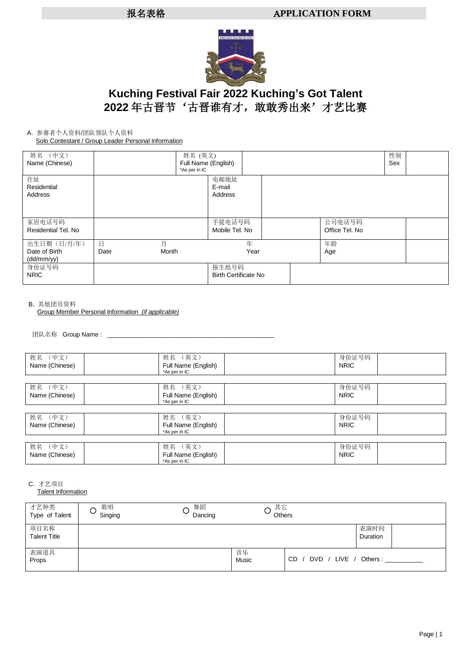

# **Kuching Festival Fair 2022 Kuching's Got Talent** 2022 年古晋节'古晋谁有才, 敢敢秀出来'才艺比赛

#### A. 参赛者个人资料/团队领队个人资料 Solo Contestant / Group Leader Personal Information

| solo sontostant / Stoap Esagor Polosharmonnation |                                      |            |                                      |  |                          |     |  |
|--------------------------------------------------|--------------------------------------|------------|--------------------------------------|--|--------------------------|-----|--|
| 姓名 (中文)                                          |                                      | 姓名 (英文)    |                                      |  |                          | 性别  |  |
| Name (Chinese)                                   | Full Name (English)<br>*As per in IC |            |                                      |  |                          | Sex |  |
| 住址<br>Residential<br>Address                     |                                      |            | 电邮地址<br>E-mail<br>Address            |  |                          |     |  |
| 家居电话号码<br>Residential Tel. No                    |                                      |            | 手提电话号码<br>Mobile Tel. No             |  | 公司电话号码<br>Office Tel. No |     |  |
| 出生日期(日/月/年)<br>Date of Birth<br>(dd/mm/yy)       | $\Box$<br>Date                       | 月<br>Month | 年<br>Year                            |  | 年龄<br>Age                |     |  |
| 身份证号码<br><b>NRIC</b>                             |                                      |            | 报生纸号码<br><b>Birth Certificate No</b> |  |                          |     |  |

#### B. 其他团员资料

Group Member Personal Information *(if applicable)*

团队名称 Group Name: \_

| 姓名 (中文)        | 姓名 (英文)             | 身份证号码       |  |
|----------------|---------------------|-------------|--|
| Name (Chinese) | Full Name (English) | <b>NRIC</b> |  |
|                | *As per in IC       |             |  |
|                |                     |             |  |
| 姓名 (中文)        | 姓名 (英文)             | 身份证号码       |  |
| Name (Chinese) | Full Name (English) | <b>NRIC</b> |  |
|                | *As per in IC       |             |  |
|                |                     |             |  |
| 姓名 (中文)        | 姓名 (英文)             | 身份证号码       |  |
| Name (Chinese) | Full Name (English) | <b>NRIC</b> |  |
|                | *As per in IC       |             |  |
|                |                     |             |  |
| 姓名 (中文)        | 姓名 (英文)             | 身份证号码       |  |
| Name (Chinese) | Full Name (English) | <b>NRIC</b> |  |
|                | *As per in IC       |             |  |

C. 才艺项目

**Talent Information** 

| 才艺种类<br>Type of Talent      | 歌唱<br>Singing | 舞蹈<br>Dancing | 其它<br>Others |                                |
|-----------------------------|---------------|---------------|--------------|--------------------------------|
| 项目名称<br><b>Talent Title</b> |               |               |              | 表演时间<br>Duration               |
| 表演道具<br>Props               |               |               | 音乐<br>Music  | CD<br>DVD / LIVE /<br>Others : |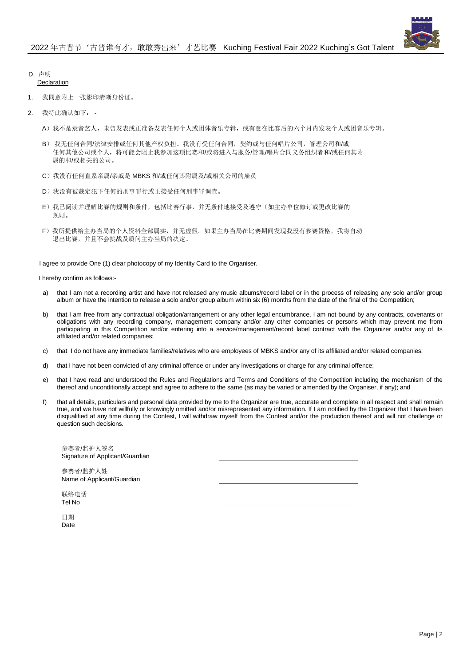

### D. 声明

#### Declaration

- 我同意附上一张影印清晰身份证。
- 2. 我特此确认如下:
	- A)我不是录音艺人,未曾发表或正准备发表任何个人或团体音乐专辑,或有意在比赛后的六个月内发表个人或团音乐专辑。
	- B) 我无任何合同/法律安排或任何其他产权负担。我没有受任何合同,契约或与任何唱片公司,管理公司和/或 任何其他公司或个人,将可能会阻止我参加这项比赛和/或将进入与服务/管理/唱片合同义务组织者和/或任何其附 属的和/或相关的公司。
	- C)我没有任何直系亲属/亲戚是 MBKS 和/或任何其附属及/或相关公司的雇员
	- D)我没有被裁定犯下任何的刑事罪行或正接受任何刑事罪调查。
	- E)我已阅读并理解比赛的规则和条件,包括比赛行事,并无条件地接受及遵守(如主办单位修订或更改比赛的 规则。
	- F)我所提供给主办当局的个人资料全部属实,并无虚假。如果主办当局在比赛期间发现我没有参赛资格,我将自动 退出比赛,并且不会挑战及质问主办当局的决定。

I agree to provide One (1) clear photocopy of my Identity Card to the Organiser.

I hereby confirm as follows:-

- a) that I am not a recording artist and have not released any music albums/record label or in the process of releasing any solo and/or group album or have the intention to release a solo and/or group album within six (6) months from the date of the final of the Competition;
- b) that I am free from any contractual obligation/arrangement or any other legal encumbrance. I am not bound by any contracts, covenants or obligations with any recording company, management company and/or any other companies or persons which may prevent me from participating in this Competition and/or entering into a service/management/record label contract with the Organizer and/or any of its affiliated and/or related companies;
- c) that I do not have any immediate families/relatives who are employees of MBKS and/or any of its affiliated and/or related companies;
- d) that I have not been convicted of any criminal offence or under any investigations or charge for any criminal offence;
- e) that I have read and understood the Rules and Regulations and Terms and Conditions of the Competition including the mechanism of the thereof and unconditionally accept and agree to adhere to the same (as may be varied or amended by the Organiser, if any); and
- f) that all details, particulars and personal data provided by me to the Organizer are true, accurate and complete in all respect and shall remain true, and we have not willfully or knowingly omitted and/or misrepresented any information. If I am notified by the Organizer that I have been disqualified at any time during the Contest, I will withdraw myself from the Contest and/or the production thereof and will not challenge or question such decisions.

参赛者/监护人签名 Signature of Applicant/Guardian

参赛者/监护人姓 Name of Applicant/Guardian

联络电话 Tel No

日期 Date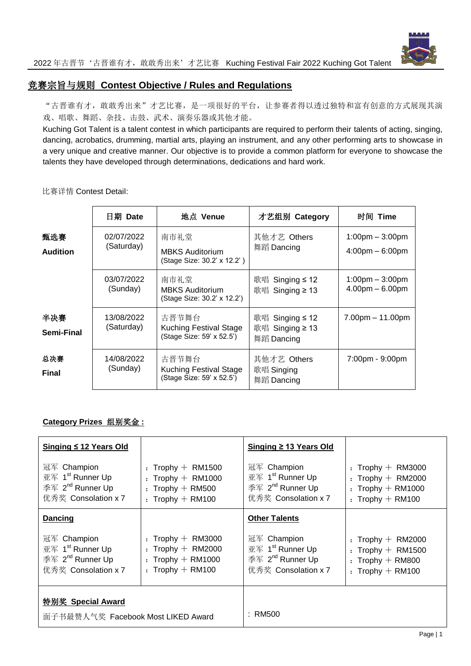

# 竞赛宗旨与规则 **Contest Objective / Rules and Regulations**

"古晋谁有才,敢敢秀出来"才艺比赛,是一项很好的平台,让参赛者得以透过独特和富有创意的方式展现其演 戏、唱歌、舞蹈、杂技、击鼓、武术、演奏乐器或其他才能。

Kuching Got Talent is a talent contest in which participants are required to perform their talents of acting, singing, dancing, acrobatics, drumming, martial arts, playing an instrument, and any other performing arts to showcase in a very unique and creative manner. Our objective is to provide a common platform for everyone to showcase the talents they have developed through determinations, dedications and hard work.

比赛详情 Contest Detail:

|                        | 日期 Date                  | 地点 Venue                                                            | 才艺组别 Category                                         | 时间 Time                                                                |
|------------------------|--------------------------|---------------------------------------------------------------------|-------------------------------------------------------|------------------------------------------------------------------------|
| 甄选赛<br><b>Audition</b> | 02/07/2022<br>(Saturday) | 南市礼堂<br><b>MBKS Auditorium</b><br>(Stage Size: 30.2' x 12.2')       | 其他才艺 Others<br>舞蹈 Dancing                             | $1:00 \text{pm} - 3:00 \text{pm}$<br>$4:00 \text{pm} - 6:00 \text{pm}$ |
|                        | 03/07/2022<br>(Sunday)   | 南市礼堂<br><b>MBKS Auditorium</b><br>(Stage Size: 30.2' x 12.2')       | 歌唱<br>Singing $\leq 12$<br>歌唱 Singing ≥ 13            | $1:00 \text{pm} - 3:00 \text{pm}$<br>$4.00pm - 6.00pm$                 |
| 半决赛<br>Semi-Final      | 13/08/2022<br>(Saturday) | 古晋节舞台<br>Kuching Festival Stage<br>(Stage Size: 59' x 52.5')        | 歌唱 Singing $\leq 12$<br>歌唱 Singing ≥ 13<br>舞蹈 Dancing | $7.00pm - 11.00pm$                                                     |
| 总决赛<br><b>Final</b>    | 14/08/2022<br>(Sunday)   | 古晋节舞台<br><b>Kuching Festival Stage</b><br>(Stage Size: 59' x 52.5') | 其他才艺 Others<br>歌唱 Singing<br>舞蹈 Dancing               | 7:00pm - 9:00pm                                                        |

### **Category Prizes** 组别奖金 **:**

| Singing ≤ 12 Years Old                                                                             |                                                                                           | Singing ≥ 13 Years Old                                                                             |                                                                                          |
|----------------------------------------------------------------------------------------------------|-------------------------------------------------------------------------------------------|----------------------------------------------------------------------------------------------------|------------------------------------------------------------------------------------------|
| 冠军 Champion<br>亚军 1 <sup>st</sup> Runner Up<br>季军 2 <sup>nd</sup> Runner Up<br>优秀奖 Consolation x 7 | : Trophy $+$ RM1500<br>: Trophy $+$ RM1000<br>: Trophy $+$ RM500<br>: Trophy $+$ RM100    | 冠军 Champion<br>亚军 1 <sup>st</sup> Runner Up<br>季军 2 <sup>nd</sup> Runner Up<br>优秀奖 Consolation x 7 | : Trophy $+$ RM3000<br>: Trophy $+$ RM2000<br>: Trophy $+$ RM1000<br>: Trophy $+$ RM100  |
| <b>Dancing</b>                                                                                     |                                                                                           | <b>Other Talents</b>                                                                               |                                                                                          |
| 冠军 Champion<br>亚军 1 <sup>st</sup> Runner Up<br>季军 2 <sup>nd</sup> Runner Up<br>优秀奖 Consolation x 7 | $:$ Trophy $+$ RM3000<br>: Trophy $+$ RM2000<br>: Trophy $+$ RM1000<br>: Trophy $+$ RM100 | 冠军 Champion<br>亚军 1 <sup>st</sup> Runner Up<br>季军 2 <sup>nd</sup> Runner Up<br>优秀奖 Consolation x 7 | $:$ Trophy $+$ RM2000<br>: Trophy $+$ RM1500<br>: Trophy $+$ RM800<br>: Trophy $+$ RM100 |
| <b>特别奖 Special Award</b>                                                                           |                                                                                           |                                                                                                    |                                                                                          |
| 面子书最赞人气奖 Facebook Most LIKED Award                                                                 |                                                                                           | : RM500                                                                                            |                                                                                          |